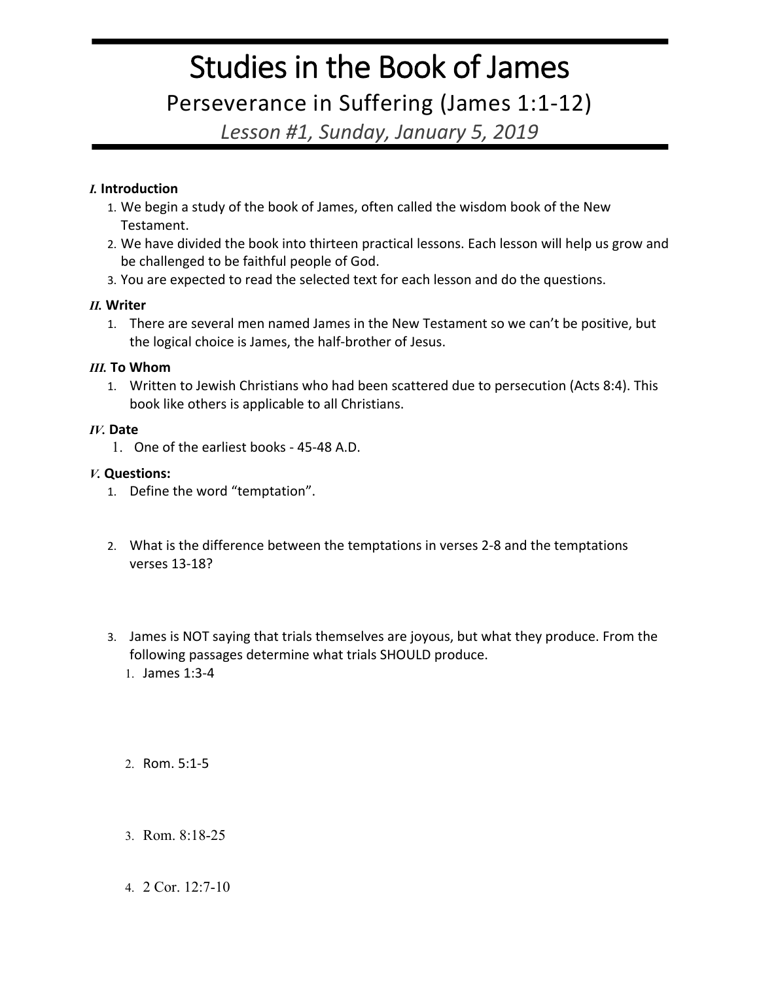# Studies in the Book of James

Perseverance in Suffering (James 1:1-12)

*Lesson #1, Sunday, January 5, 2019*

## *I.* **Introduction**

- 1. We begin a study of the book of James, often called the wisdom book of the New Testament.
- 2. We have divided the book into thirteen practical lessons. Each lesson will help us grow and be challenged to be faithful people of God.
- 3. You are expected to read the selected text for each lesson and do the questions.

## *II.* **Writer**

1. There are several men named James in the New Testament so we can't be positive, but the logical choice is James, the half-brother of Jesus.

## *III.* **To Whom**

1. Written to Jewish Christians who had been scattered due to persecution (Acts 8:4). This book like others is applicable to all Christians.

### *IV.* **Date**

1. One of the earliest books - 45-48 A.D.

## *V.* **Questions:**

- 1. Define the word "temptation".
- 2. What is the difference between the temptations in verses 2-8 and the temptations verses 13-18?
- 3. James is NOT saying that trials themselves are joyous, but what they produce. From the following passages determine what trials SHOULD produce.
	- 1. James 1:3-4

2. Rom. 5:1-5

- 3. Rom. 8:18-25
- 4. 2 Cor. 12:7-10